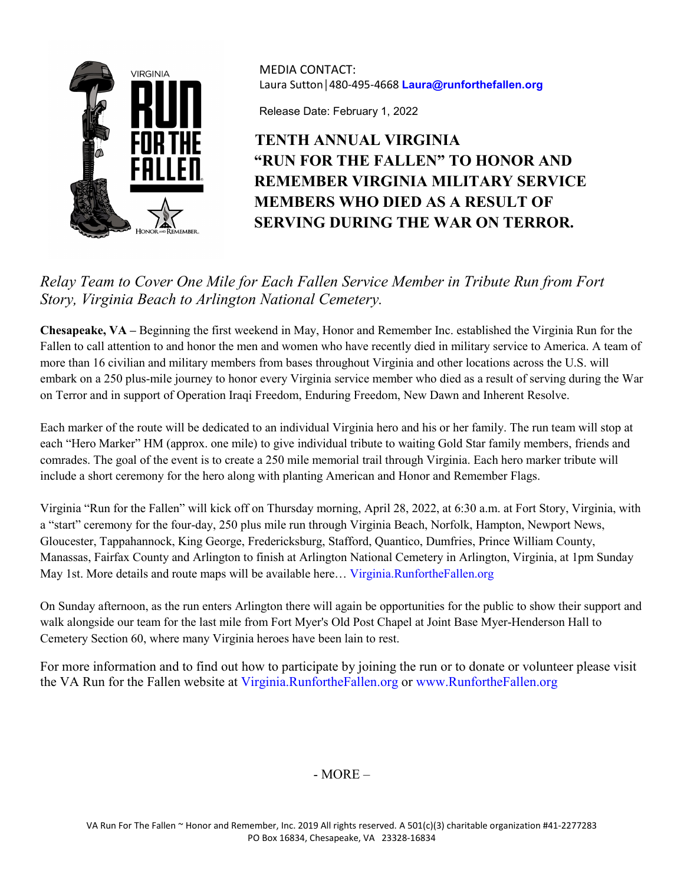

MEDIA CONTACT: Laura Sutton│480-495-4668 **Laura@runforthefallen.org**

Release Date: February 1, 2022

## **TENTH ANNUAL VIRGINIA "RUN FOR THE FALLEN" TO HONOR AND REMEMBER VIRGINIA MILITARY SERVICE MEMBERS WHO DIED AS A RESULT OF SERVING DURING THE WAR ON TERROR.**

## *Relay Team to Cover One Mile for Each Fallen Service Member in Tribute Run from Fort Story, Virginia Beach to Arlington National Cemetery.*

**Chesapeake, VA –** Beginning the first weekend in May, Honor and Remember Inc. established the Virginia Run for the Fallen to call attention to and honor the men and women who have recently died in military service to America. A team of more than 16 civilian and military members from bases throughout Virginia and other locations across the U.S. will embark on a 250 plus-mile journey to honor every Virginia service member who died as a result of serving during the War on Terror and in support of Operation Iraqi Freedom, Enduring Freedom, New Dawn and Inherent Resolve.

Each marker of the route will be dedicated to an individual Virginia hero and his or her family. The run team will stop at each "Hero Marker" HM (approx. one mile) to give individual tribute to waiting Gold Star family members, friends and comrades. The goal of the event is to create a 250 mile memorial trail through Virginia. Each hero marker tribute will include a short ceremony for the hero along with planting American and Honor and Remember Flags.

Virginia "Run for the Fallen" will kick off on Thursday morning, April 28, 2022, at 6:30 a.m. at Fort Story, Virginia, with a "start" ceremony for the four-day, 250 plus mile run through Virginia Beach, Norfolk, Hampton, Newport News, Gloucester, Tappahannock, King George, Fredericksburg, Stafford, Quantico, Dumfries, Prince William County, Manassas, Fairfax County and Arlington to finish at Arlington National Cemetery in Arlington, Virginia, at 1pm Sunday May 1st. More details and route maps will be available here... Virginia.RunfortheFallen.org

On Sunday afternoon, as the run enters Arlington there will again be opportunities for the public to show their support and walk alongside our team for the last mile from Fort Myer's Old Post Chapel at Joint Base Myer-Henderson Hall to Cemetery Section 60, where many Virginia heroes have been lain to rest.

For more information and to find out how to participate by joining the run or to donate or volunteer please visit the VA Run for the Fallen website at Virginia.RunfortheFallen.org or www.RunfortheFallen.org

## - MORE –